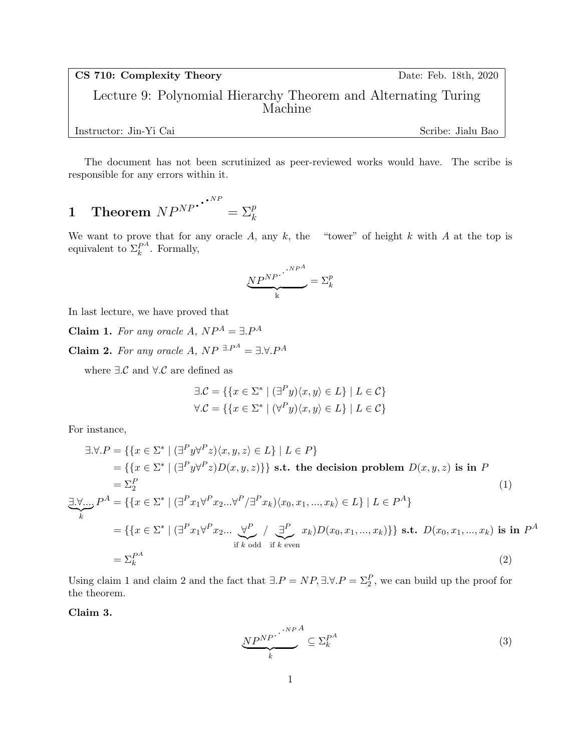CS 710: Complexity Theory Date: Feb. 18th, 2020

Lecture 9: Polynomial Hierarchy Theorem and Alternating Turing Machine

Instructor: Jin-Yi Cai Scribe: Jialu Bao

The document has not been scrutinized as peer-reviewed works would have. The scribe is responsible for any errors within it.

# $1 \quad {\bf Theorem} \; NP^{NP} \cdot \cdot \cdot^{NP}$  $= \sum_{k=1}^{p}$

We want to prove that for any oracle A, any k, the "tower" of height k with A at the top is equivalent to  $\Sigma_k^{P^A}$  $k^{\mathcal{P}^A}$ . Formally,

$$
\underbrace{NP^{NP}}_k \cdot \stackrel{\cdot \cdot \cdot NP^A}{\longrightarrow} = \Sigma_k^p
$$

In last lecture, we have proved that

Claim 1. For any oracle A,  $NP^{A} = \exists P^{A}$ 

**Claim 2.** For any oracle A,  $NP^{-\exists P^A} = \exists \forall P^A$ 

where  $\exists \mathcal{C}$  and  $\forall \mathcal{C}$  are defined as

$$
\exists \mathcal{C} = \{ \{x \in \Sigma^* \mid (\exists^P y) \langle x, y \rangle \in L \} \mid L \in \mathcal{C} \}
$$
  

$$
\forall \mathcal{C} = \{ \{x \in \Sigma^* \mid (\forall^P y) \langle x, y \rangle \in L \} \mid L \in \mathcal{C} \}
$$

For instance,

$$
\exists \forall P = \{ \{x \in \Sigma^* \mid (\exists^P y \forall^P z)(x, y, z) \in L \} \mid L \in P \}
$$
\n
$$
= \{ \{x \in \Sigma^* \mid (\exists^P y \forall^P z)D(x, y, z) \} \} \text{ s.t. the decision problem } D(x, y, z) \text{ is in } P
$$
\n
$$
= \Sigma_2^P
$$
\n
$$
\exists \forall \dots P^A = \{ \{x \in \Sigma^* \mid (\exists^P x_1 \forall^P x_2 \dots \forall^P / \exists^P x_k)(x_0, x_1, \dots, x_k) \in L \} \mid L \in P^A \}
$$
\n
$$
= \{ \{x \in \Sigma^* \mid (\exists^P x_1 \forall^P x_2 \dots \forall^P / \exists^P x_k) \forall x_0, x_1, \dots, x_k) \} \} \text{ s.t. } D(x_0, x_1, \dots, x_k) \text{ is in } P^A
$$
\n
$$
= \Sigma_k^{P^A}
$$
\n
$$
(2)
$$

Using claim 1 and claim 2 and the fact that  $\exists P = NP, \exists \forall P = \sum_{i=1}^{P} P_i$ , we can build up the proof for the theorem.

Claim 3.

$$
\underbrace{NP^{NP}}_{k} \stackrel{\cdot \cdot \cdot \cdot \cdot \cdot \cdot \cdot A}{=} \subseteq \Sigma_k^{P^A} \tag{3}
$$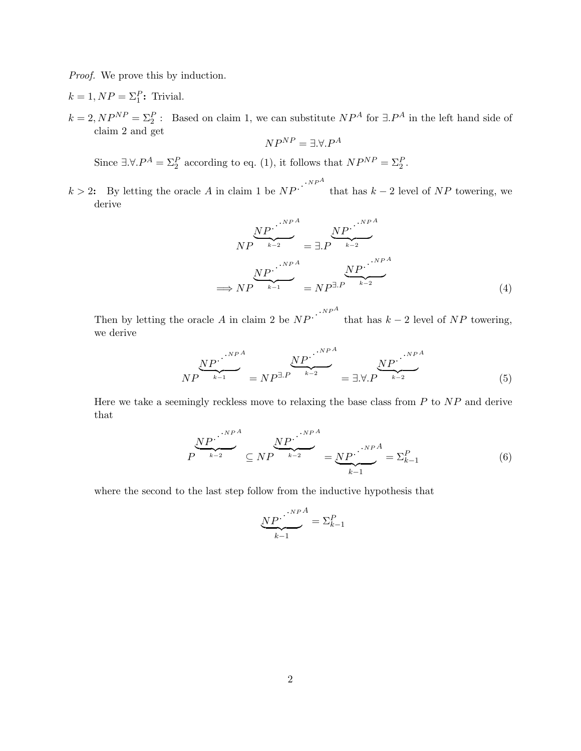Proof. We prove this by induction.

- $k = 1, NP = \Sigma_1^P$ : Trivial.
- $k = 2, NP^{NP} = \Sigma_2^P$ : Based on claim 1, we can substitute  $NP^A$  for  $\exists P^A$  in the left hand side of claim 2 and get

$$
NP^{NP} = \exists. \forall. P^A
$$

Since  $\exists \forall P^A = \sum_{i=1}^P$  according to eq. (1), it follows that  $NP^{NP} = \sum_{i=1}^P$ .

 $k > 2$ : By letting the oracle A in claim 1 be  $NP \cdot \cdot \cdot NP^A$ that has  $k-2$  level of  $NP$  towering, we derive

$$
NP \xrightarrow{NP} \xrightarrow{k-2} \text{S.P.} \xrightarrow{NP^{A}
$$
\n
$$
NP \xrightarrow{NP} \xrightarrow{k-1} \text{P.P.} \xrightarrow{NP^{A}}
$$
\n
$$
NP \xrightarrow{k-1} \text{P.P.} \xrightarrow{k-2} \text{NP} \xrightarrow{k-2} \text{P}
$$
\n
$$
(4)
$$

Then by letting the oracle A in claim 2 be  $NP \cdot \cdot \cdot^{NP^{A}}$ that has  $k-2$  level of  $NP$  towering, we derive

$$
NP \overbrace{NP \overset{NP^A}{\longrightarrow} \phantom{P}}^{NP^A} = NP^{\exists P} \overbrace{P \overset{NP^A}{\longrightarrow} \phantom{P}}^{NP^A} = \exists \forall P \overbrace{NP \overset{NP^A}{\longrightarrow} \phantom{P}}^{NP^A}
$$
 (5)

Here we take a seemingly reckless move to relaxing the base class from  $P$  to  $NP$  and derive that

$$
P^{\underbrace{NP^{\cdot}}_{k-2}} \subseteq NP^{\underbrace{NP^{\cdot}}_{k-2}} = \underbrace{NP^{\cdot}}_{k-1}^{\cdot NP^{A}} = \Sigma_{k-1}^{P} \tag{6}
$$

where the second to the last step follow from the inductive hypothesis that

$$
\underbrace{NP\cdot}_{k-1}^{\cdot\cdot\cdot\cdot\cdot\cdot\cdot A}=\Sigma_{k-1}^{P}
$$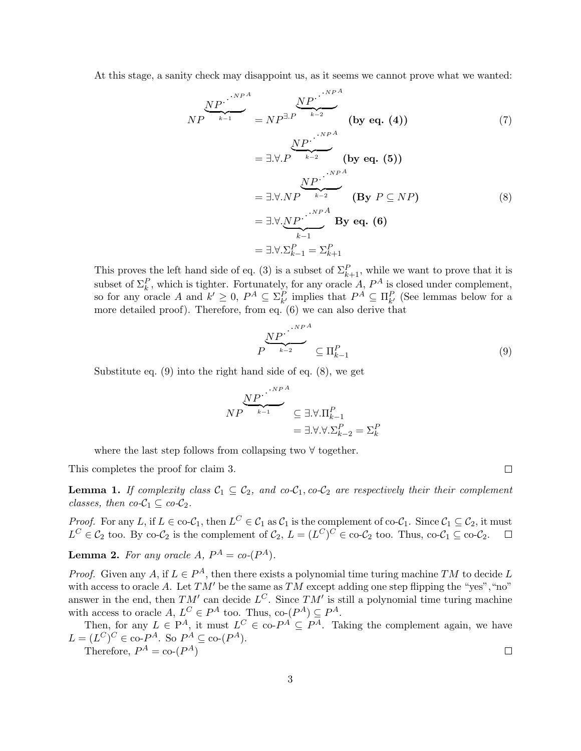At this stage, a sanity check may disappoint us, as it seems we cannot prove what we wanted:

$$
NP \longrightarrow_{k=1}^{NP} = NP^{\exists P} \longrightarrow_{k=2}^{NP} \qquad \text{(by eq. (4))}
$$
  
\n
$$
= \exists \forall P \longrightarrow_{k=2}^{NP} \qquad \text{(by eq. (5))}
$$
  
\n
$$
= \exists \forall NP \longrightarrow_{k=2}^{NP} \qquad \text{(by eq. (5))}
$$
  
\n
$$
= \exists \forall NP \longrightarrow_{k=1}^{NP^A} \qquad \text{(By } P \subseteq NP)
$$
  
\n
$$
= \exists \forall P \subseteq NP \qquad \text{(8)}
$$
  
\n
$$
= \exists \forall P \subseteq NP \qquad \text{(9)}
$$

This proves the left hand side of eq. (3) is a subset of  $\Sigma_{k+1}^P$ , while we want to prove that it is subset of  $\Sigma_k^P$ , which is tighter. Fortunately, for any oracle A,  $P^A$  is closed under complement, so for any oracle A and  $k' \geq 0$ ,  $P^A \subseteq \Sigma_{k'}^P$  implies that  $P^A \subseteq \Pi_{k'}^P$  (See lemmas below for a more detailed proof). Therefore, from eq. (6) we can also derive that

$$
P^{\overbrace{\bigvee_{k=2}^{NP}}^{NP^A}} \subseteq \Pi_{k-1}^P
$$
\n(9)

Substitute eq. (9) into the right hand side of eq. (8), we get

$$
NP \xrightarrow{k-P} \xrightarrow{k-1} \subseteq \exists. \forall. \Pi_{k-1}^P
$$
  
=  $\exists. \forall. \forall. \Sigma_{k-2}^P = \Sigma_k^P$ 

where the last step follows from collapsing two ∀ together.

This completes the proof for claim 3.

**Lemma 1.** If complexity class  $C_1 \subseteq C_2$ , and co- $C_1$ , co- $C_2$  are respectively their their complement classes, then  $co-C_1 \subseteq co-C_2$ .

*Proof.* For any L, if  $L \in \text{co-}\mathcal{C}_1$ , then  $L^C \in \mathcal{C}_1$  as  $\mathcal{C}_1$  is the complement of co- $\mathcal{C}_1$ . Since  $\mathcal{C}_1 \subseteq \mathcal{C}_2$ , it must  $L^C \in \mathcal{C}_2$  too. By co- $\mathcal{C}_2$  is the complement of  $\mathcal{C}_2$ ,  $L = (L^C)^C \in \text{co-}\mathcal{C}_2$  too. Thus,  $\text{co-}\mathcal{C}_1 \subseteq \text{co-}\mathcal{C}_2$ .  $\Box$ 

**Lemma 2.** For any oracle  $A, P^A = co-(P^A)$ .

*Proof.* Given any A, if  $L \in P^A$ , then there exists a polynomial time turing machine TM to decide L with access to oracle A. Let  $TM'$  be the same as  $TM$  except adding one step flipping the "yes", "no" answer in the end, then  $TM'$  can decide  $L^C$ . Since  $TM'$  is still a polynomial time turing machine with access to oracle  $A, L^C \in P^A$  too. Thus, co- $(P^A) \subseteq P^A$ .

Then, for any  $L \in \mathbb{P}^A$ , it must  $L^C \in \text{co-}P^A \subseteq P^A$ . Taking the complement again, we have  $L = (L^C)^C \in \text{co-}P^A$ . So  $P^A \subseteq \text{co-}(P^A)$ .

Therefore,  $P^A = \text{co-}(P^A)$ 

 $\Box$ 

 $\Box$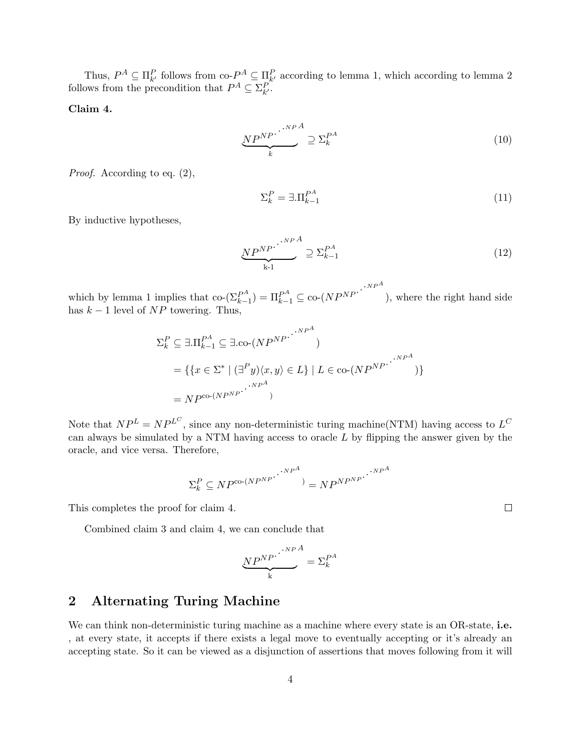Thus,  $P^A \subseteq \Pi_{k'}^P$  follows from co- $P^A \subseteq \Pi_{k'}^P$  according to lemma 1, which according to lemma 2 follows from the precondition that  $P^A \subseteq \Sigma^P_{k'}$ .

#### Claim 4.

$$
\underbrace{NP^{NP}}_{k} \stackrel{\cdot \cdot \cdot \cdot \cdot \cdot \cdot \cdot A}{=} \sum_{k=1}^{P^{A}} \tag{10}
$$

Proof. According to eq. (2),

$$
\Sigma_k^P = \exists . \Pi_{k-1}^{P^A} \tag{11}
$$

By inductive hypotheses,

$$
\underbrace{NP^{NP}}_{k-1} \supseteq \Sigma_{k-1}^{P^A} \tag{12}
$$

$$
NP^{A}
$$

which by lemma 1 implies that co- $(\Sigma_{k-}^{PA})$  $\mathbb{E}_{k-1}^{PA}$  =  $\prod_{k-1}^{PA}$   $\subseteq$  co- $\left( NP^{NP} \right)$ .  $\cdot$ <sup>NPA</sup> ), where the right hand side has  $k - 1$  level of  $NP$  towering. Thus,

$$
\Sigma_k^P \subseteq \exists . \Pi_{k-1}^{PA} \subseteq \exists . \text{co-}(NP^{NP} \cdot \dots \cdot NP^A)
$$
  
= { $\{x \in \Sigma^* \mid (\exists^P y) \langle x, y \rangle \in L\} \mid L \in \text{co-}(NP^{NP} \cdot \dots \cdot NP^A)$   
=  $NP^{\text{co-}(NP^{NP} \cdot \dots \cdot)}$ 

Note that  $NP^L = NP^{L^C}$ , since any non-deterministic turing machine(NTM) having access to  $L^C$ can always be simulated by a NTM having access to oracle  $L$  by flipping the answer given by the oracle, and vice versa. Therefore,

$$
\Sigma_k^P \subseteq NP^{\text{co-}(N P^{NP})} \cdot \cdot \cdot^{NP^A}) = NP^{N P^{NP}} \cdot \cdot \cdot^{NP^A}
$$

This completes the proof for claim 4.

Combined claim 3 and claim 4, we can conclude that

$$
\underbrace{NP^{NP}}_k \cdot \stackrel{NP^A}{=} \Sigma_k^{P^A}
$$

## 2 Alternating Turing Machine

We can think non-deterministic turing machine as a machine where every state is an OR-state, i.e. , at every state, it accepts if there exists a legal move to eventually accepting or it's already an accepting state. So it can be viewed as a disjunction of assertions that moves following from it will

 $\Box$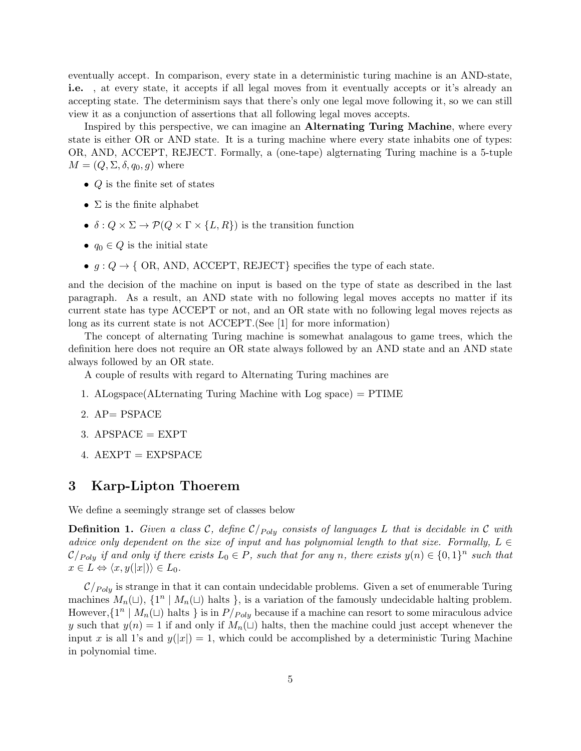eventually accept. In comparison, every state in a deterministic turing machine is an AND-state, i.e. , at every state, it accepts if all legal moves from it eventually accepts or it's already an accepting state. The determinism says that there's only one legal move following it, so we can still view it as a conjunction of assertions that all following legal moves accepts.

Inspired by this perspective, we can imagine an Alternating Turing Machine, where every state is either OR or AND state. It is a turing machine where every state inhabits one of types: OR, AND, ACCEPT, REJECT. Formally, a (one-tape) algternating Turing machine is a 5-tuple  $M = (Q, \Sigma, \delta, q_0, g)$  where

- $Q$  is the finite set of states
- $\Sigma$  is the finite alphabet
- $\delta: Q \times \Sigma \to \mathcal{P}(Q \times \Gamma \times \{L, R\})$  is the transition function
- $q_0 \in Q$  is the initial state
- $g: Q \to \{ OR, AND, ACCEPT, REJECT \}$  specifies the type of each state.

and the decision of the machine on input is based on the type of state as described in the last paragraph. As a result, an AND state with no following legal moves accepts no matter if its current state has type ACCEPT or not, and an OR state with no following legal moves rejects as long as its current state is not ACCEPT.(See [1] for more information)

The concept of alternating Turing machine is somewhat analagous to game trees, which the definition here does not require an OR state always followed by an AND state and an AND state always followed by an OR state.

A couple of results with regard to Alternating Turing machines are

- 1. ALogspace(ALternating Turing Machine with Log space) = PTIME
- 2. AP= PSPACE
- $3.$  APSPACE  $=$  EXPT
- $4. AEXPT = EXPSPACE$

### 3 Karp-Lipton Thoerem

We define a seemingly strange set of classes below

**Definition 1.** Given a class C, define  $C_{Poly}$  consists of languages L that is decidable in C with advice only dependent on the size of input and has polynomial length to that size. Formally,  $L \in$  $\mathcal{C}/_{Poly}$  if and only if there exists  $L_0 \in P$ , such that for any n, there exists  $y(n) \in \{0,1\}^n$  such that  $x \in L \Leftrightarrow \langle x, y(|x|) \rangle \in L_0.$ 

 $\mathcal{C}/_{Poly}$  is strange in that it can contain undecidable problems. Given a set of enumerable Turing machines  $M_n(\sqcup), \{1^n \mid M_n(\sqcup) \text{ halts }\},$  is a variation of the famously undecidable halting problem. However,  $\{1^n \mid M_n(\sqcup) \text{ halts }\}$  is in  $P/P_{oly}$  because if a machine can resort to some miraculous advice y such that  $y(n) = 1$  if and only if  $M_n(\square)$  halts, then the machine could just accept whenever the input x is all 1's and  $y(|x|) = 1$ , which could be accomplished by a deterministic Turing Machine in polynomial time.